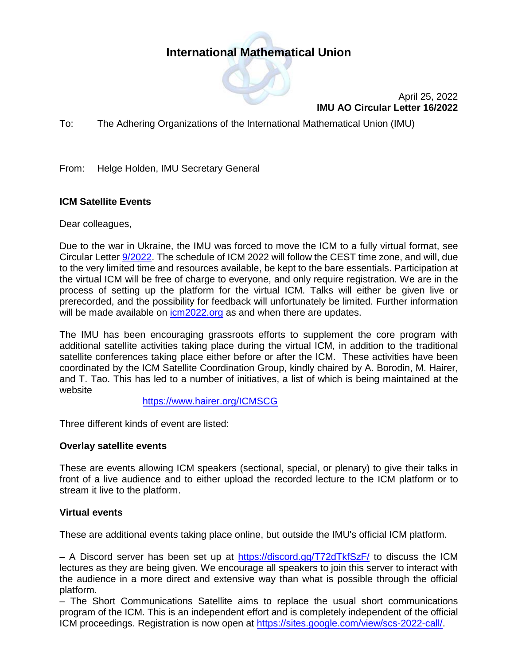# **International Mathematical Union**



April 25, 2022 **IMU AO Circular Letter 16/2022**

To: The Adhering Organizations of the International Mathematical Union (IMU)

From: Helge Holden, IMU Secretary General

### **ICM Satellite Events**

Dear colleagues,

Due to the war in Ukraine, the IMU was forced to move the ICM to a fully virtual format, see Circular Letter [9/2022.](https://www.mathunion.org/fileadmin/IMU/Publications/CircularLetters/2022/IMU%20AO%20CL%209_2022.pdf) The schedule of ICM 2022 will follow the CEST time zone, and will, due to the very limited time and resources available, be kept to the bare essentials. Participation at the virtual ICM will be free of charge to everyone, and only require registration. We are in the process of setting up the platform for the virtual ICM. Talks will either be given live or prerecorded, and the possibility for feedback will unfortunately be limited. Further information will be made available on [icm2022.org](https://www.mathunion.org/icm/virtual-icm-2022) as and when there are updates.

The IMU has been encouraging grassroots efforts to supplement the core program with additional satellite activities taking place during the virtual ICM, in addition to the traditional satellite conferences taking place either before or after the ICM. These activities have been coordinated by the ICM Satellite Coordination Group, kindly chaired by A. Borodin, M. Hairer, and T. Tao. This has led to a number of initiatives, a list of which is being maintained at the website

<https://www.hairer.org/ICMSCG>

Three different kinds of event are listed:

#### **Overlay satellite events**

These are events allowing ICM speakers (sectional, special, or plenary) to give their talks in front of a live audience and to either upload the recorded lecture to the ICM platform or to stream it live to the platform.

#### **Virtual events**

These are additional events taking place online, but outside the IMU's official ICM platform.

– A Discord server has been set up at<https://discord.gg/T72dTkfSzF/> to discuss the ICM lectures as they are being given. We encourage all speakers to join this server to interact with the audience in a more direct and extensive way than what is possible through the official platform.

– The Short Communications Satellite aims to replace the usual short communications program of the ICM. This is an independent effort and is completely independent of the official ICM proceedings. Registration is now open at [https://sites.google.com/view/scs-2022-call/.](https://sites.google.com/view/scs-2022-call/)